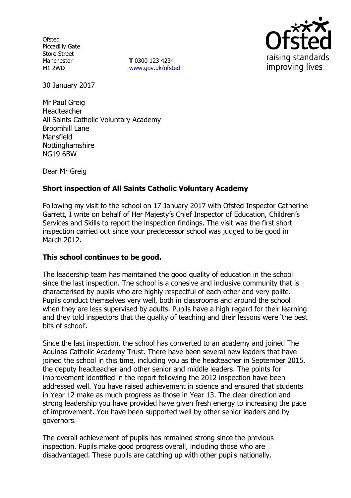**Ofsted** Piccadilly Gate Store Street Manchester M1 2WD

**T** 0300 123 4234 www.gov.uk/ofsted



30 January 2017

Mr Paul Greig Headteacher All Saints Catholic Voluntary Academy Broomhill Lane Mansfield Nottinghamshire NG19 6BW

Dear Mr Greig

# **Short inspection of All Saints Catholic Voluntary Academy**

Following my visit to the school on 17 January 2017 with Ofsted Inspector Catherine Garrett, I write on behalf of Her Majesty's Chief Inspector of Education, Children's Services and Skills to report the inspection findings. The visit was the first short inspection carried out since your predecessor school was judged to be good in March 2012.

### **This school continues to be good.**

The leadership team has maintained the good quality of education in the school since the last inspection. The school is a cohesive and inclusive community that is characterised by pupils who are highly respectful of each other and very polite. Pupils conduct themselves very well, both in classrooms and around the school when they are less supervised by adults. Pupils have a high regard for their learning and they told inspectors that the quality of teaching and their lessons were 'the best bits of school'.

Since the last inspection, the school has converted to an academy and joined The Aquinas Catholic Academy Trust. There have been several new leaders that have joined the school in this time, including you as the headteacher in September 2015, the deputy headteacher and other senior and middle leaders. The points for improvement identified in the report following the 2012 inspection have been addressed well. You have raised achievement in science and ensured that students in Year 12 make as much progress as those in Year 13. The clear direction and strong leadership you have provided have given fresh energy to increasing the pace of improvement. You have been supported well by other senior leaders and by governors.

The overall achievement of pupils has remained strong since the previous inspection. Pupils make good progress overall, including those who are disadvantaged. These pupils are catching up with other pupils nationally.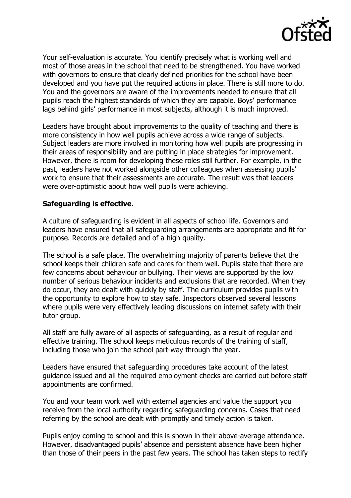

Your self-evaluation is accurate. You identify precisely what is working well and most of those areas in the school that need to be strengthened. You have worked with governors to ensure that clearly defined priorities for the school have been developed and you have put the required actions in place. There is still more to do. You and the governors are aware of the improvements needed to ensure that all pupils reach the highest standards of which they are capable. Boys' performance lags behind girls' performance in most subjects, although it is much improved.

Leaders have brought about improvements to the quality of teaching and there is more consistency in how well pupils achieve across a wide range of subjects. Subject leaders are more involved in monitoring how well pupils are progressing in their areas of responsibility and are putting in place strategies for improvement. However, there is room for developing these roles still further. For example, in the past, leaders have not worked alongside other colleagues when assessing pupils' work to ensure that their assessments are accurate. The result was that leaders were over-optimistic about how well pupils were achieving.

## **Safeguarding is effective.**

A culture of safeguarding is evident in all aspects of school life. Governors and leaders have ensured that all safeguarding arrangements are appropriate and fit for purpose. Records are detailed and of a high quality.

The school is a safe place. The overwhelming majority of parents believe that the school keeps their children safe and cares for them well. Pupils state that there are few concerns about behaviour or bullying. Their views are supported by the low number of serious behaviour incidents and exclusions that are recorded. When they do occur, they are dealt with quickly by staff. The curriculum provides pupils with the opportunity to explore how to stay safe. Inspectors observed several lessons where pupils were very effectively leading discussions on internet safety with their tutor group.

All staff are fully aware of all aspects of safeguarding, as a result of regular and effective training. The school keeps meticulous records of the training of staff, including those who join the school part-way through the year.

Leaders have ensured that safeguarding procedures take account of the latest guidance issued and all the required employment checks are carried out before staff appointments are confirmed.

You and your team work well with external agencies and value the support you receive from the local authority regarding safeguarding concerns. Cases that need referring by the school are dealt with promptly and timely action is taken.

Pupils enjoy coming to school and this is shown in their above-average attendance. However, disadvantaged pupils' absence and persistent absence have been higher than those of their peers in the past few years. The school has taken steps to rectify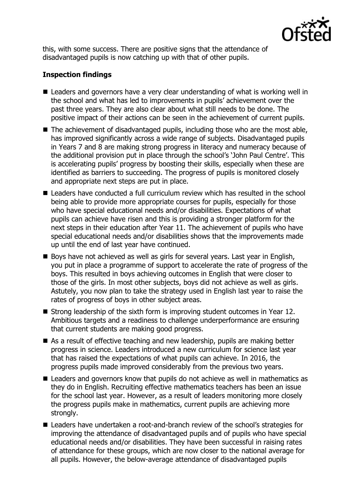

this, with some success. There are positive signs that the attendance of disadvantaged pupils is now catching up with that of other pupils.

# **Inspection findings**

- Leaders and governors have a very clear understanding of what is working well in the school and what has led to improvements in pupils' achievement over the past three years. They are also clear about what still needs to be done. The positive impact of their actions can be seen in the achievement of current pupils.
- The achievement of disadvantaged pupils, including those who are the most able, has improved significantly across a wide range of subjects. Disadvantaged pupils in Years 7 and 8 are making strong progress in literacy and numeracy because of the additional provision put in place through the school's 'John Paul Centre'. This is accelerating pupils' progress by boosting their skills, especially when these are identified as barriers to succeeding. The progress of pupils is monitored closely and appropriate next steps are put in place.
- Leaders have conducted a full curriculum review which has resulted in the school being able to provide more appropriate courses for pupils, especially for those who have special educational needs and/or disabilities. Expectations of what pupils can achieve have risen and this is providing a stronger platform for the next steps in their education after Year 11. The achievement of pupils who have special educational needs and/or disabilities shows that the improvements made up until the end of last year have continued.
- Boys have not achieved as well as girls for several years. Last year in English, you put in place a programme of support to accelerate the rate of progress of the boys. This resulted in boys achieving outcomes in English that were closer to those of the girls. In most other subjects, boys did not achieve as well as girls. Astutely, you now plan to take the strategy used in English last year to raise the rates of progress of boys in other subject areas.
- Strong leadership of the sixth form is improving student outcomes in Year 12. Ambitious targets and a readiness to challenge underperformance are ensuring that current students are making good progress.
- As a result of effective teaching and new leadership, pupils are making better progress in science. Leaders introduced a new curriculum for science last year that has raised the expectations of what pupils can achieve. In 2016, the progress pupils made improved considerably from the previous two years.
- Leaders and governors know that pupils do not achieve as well in mathematics as they do in English. Recruiting effective mathematics teachers has been an issue for the school last year. However, as a result of leaders monitoring more closely the progress pupils make in mathematics, current pupils are achieving more strongly.
- Leaders have undertaken a root-and-branch review of the school's strategies for improving the attendance of disadvantaged pupils and of pupils who have special educational needs and/or disabilities. They have been successful in raising rates of attendance for these groups, which are now closer to the national average for all pupils. However, the below-average attendance of disadvantaged pupils